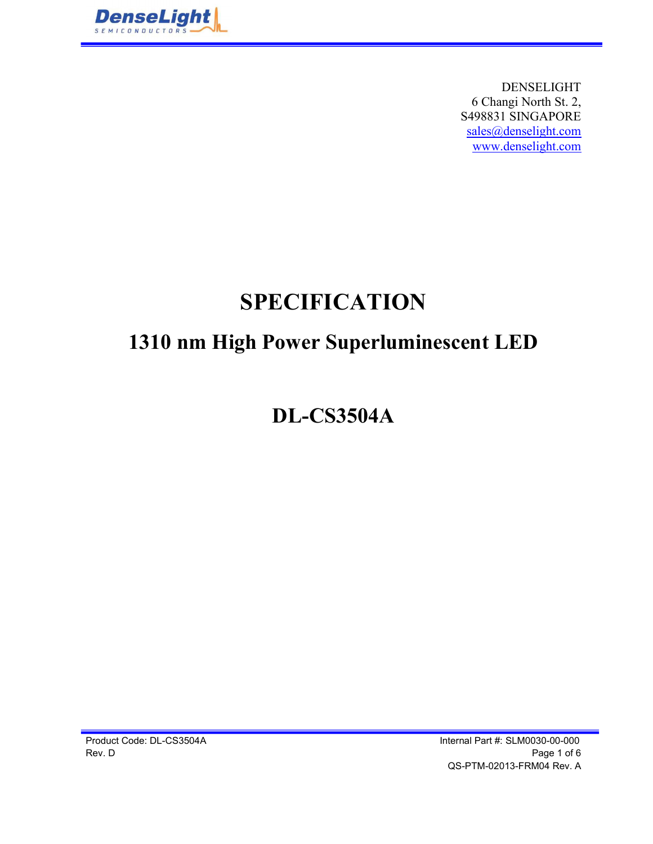

DENSELIGHT 6 Changi North St. 2, S498831 SINGAPORE sales@denselight.com www.denselight.com

# SPECIFICATION

## 1310 nm High Power Superluminescent LED

DL-CS3504A

Product Code: DL-CS3504A Internal Part #: SLM0030-00-000 Rev. D Page 1 of 6 QS-PTM-02013-FRM04 Rev. A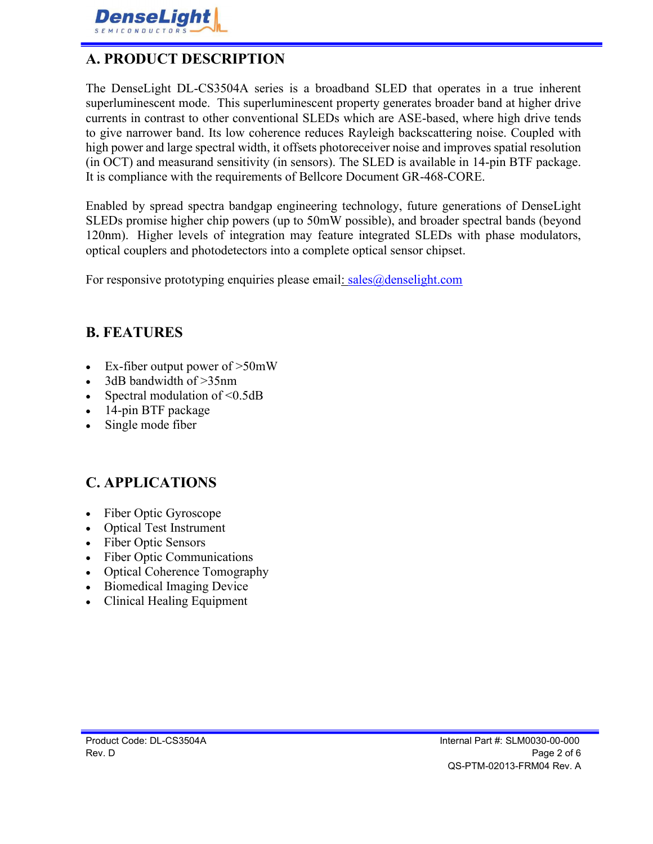

## A. PRODUCT DESCRIPTION

The DenseLight DL-CS3504A series is a broadband SLED that operates in a true inherent superluminescent mode. This superluminescent property generates broader band at higher drive currents in contrast to other conventional SLEDs which are ASE-based, where high drive tends to give narrower band. Its low coherence reduces Rayleigh backscattering noise. Coupled with high power and large spectral width, it offsets photoreceiver noise and improves spatial resolution (in OCT) and measurand sensitivity (in sensors). The SLED is available in 14-pin BTF package. It is compliance with the requirements of Bellcore Document GR-468-CORE.

Enabled by spread spectra bandgap engineering technology, future generations of DenseLight SLEDs promise higher chip powers (up to 50mW possible), and broader spectral bands (beyond 120nm). Higher levels of integration may feature integrated SLEDs with phase modulators, optical couplers and photodetectors into a complete optical sensor chipset.

For responsive prototyping enquiries please email:  $sales@denselight.com$ 

#### B. FEATURES

- Ex-fiber output power of >50mW
- 3dB bandwidth of >35nm
- Spectral modulation of <0.5dB
- 14-pin BTF package
- Single mode fiber

#### C. APPLICATIONS

- Fiber Optic Gyroscope
- Optical Test Instrument
- Fiber Optic Sensors
- Fiber Optic Communications  $\bullet$
- Optical Coherence Tomography
- Biomedical Imaging Device
- Clinical Healing Equipment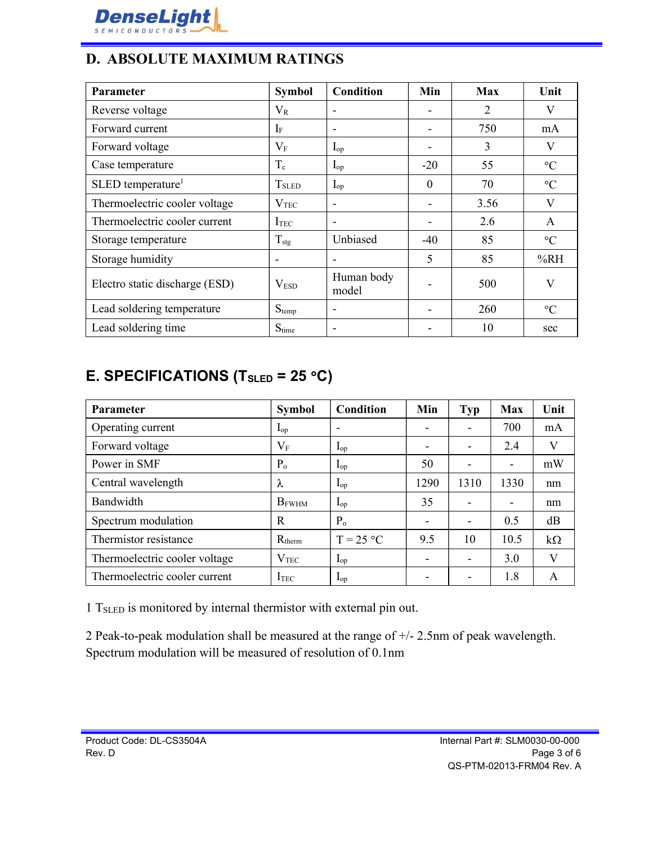

## D. ABSOLUTE MAXIMUM RATINGS

| Parameter                      | <b>Symbol</b>            | <b>Condition</b>         | Min                      | <b>Max</b> | Unit            |
|--------------------------------|--------------------------|--------------------------|--------------------------|------------|-----------------|
| Reverse voltage                | $V_{R}$                  | $\overline{\phantom{a}}$ | $\overline{\phantom{a}}$ | 2          | V               |
| Forward current                | $I_F$                    | $\blacksquare$           |                          | 750        | mA              |
| Forward voltage                | $V_{\rm F}$              | $I_{op}$                 |                          | 3          | V               |
| Case temperature               | $T_c$                    | $I_{op}$                 | $-20$                    | 55         | $\rm ^{\circ}C$ |
| SLED temperature <sup>1</sup>  | <b>T</b> <sub>SLED</sub> | $I_{op}$                 | $\mathbf{0}$             | 70         | $\rm ^{\circ}C$ |
| Thermoelectric cooler voltage  | $\rm V_{TEC}$            | $\overline{\phantom{a}}$ |                          | 3.56       | V               |
| Thermoelectric cooler current  | ITEC                     | $\overline{\phantom{a}}$ |                          | 2.6        | $\mathsf{A}$    |
| Storage temperature            | $T_{\text{stg}}$         | Unbiased                 | $-40$                    | 85         | $\rm ^{\circ}C$ |
| Storage humidity               | $\overline{\phantom{a}}$ | $\blacksquare$           | 5                        | 85         | %RH             |
| Electro static discharge (ESD) | V <sub>ESD</sub>         | Human body<br>model      |                          | 500        | $\rm V$         |
| Lead soldering temperature     | $S_{temp}$               | $\overline{\phantom{a}}$ |                          | 260        | $\rm ^{\circ}C$ |
| Lead soldering time            | $S_{time}$               | $\overline{\phantom{a}}$ |                          | 10         | sec             |

## E. SPECIFICATIONS (T<sub>SLED</sub> = 25 °C)

| <b>Parameter</b>              | <b>Symbol</b>    | Condition                | Min                      | <b>Typ</b>               | <b>Max</b>               | Unit      |
|-------------------------------|------------------|--------------------------|--------------------------|--------------------------|--------------------------|-----------|
| Operating current             | $I_{op}$         | $\overline{\phantom{a}}$ |                          | $\overline{\phantom{0}}$ | 700                      | mA        |
| Forward voltage               | $V_{\rm F}$      | $I_{op}$                 | $\overline{\phantom{a}}$ | $\overline{\phantom{0}}$ | 2.4                      | V         |
| Power in SMF                  | $P_{o}$          | $\mathbf{I}_{op}$        | 50                       | $\overline{\phantom{0}}$ | $\overline{\phantom{a}}$ | mW        |
| Central wavelength            | λ                | $I_{op}$                 | 1290                     | 1310                     | 1330                     | nm        |
| Bandwidth                     | $B_{FWHM}$       | $I_{op}$                 | 35                       |                          | $\overline{\phantom{a}}$ | nm        |
| Spectrum modulation           | $\mathbb{R}$     | P <sub>o</sub>           | $\overline{\phantom{a}}$ | $\overline{\phantom{0}}$ | 0.5                      | dB        |
| Thermistor resistance         | $R_{therm}$      | $T = 25 °C$              | 9.5                      | 10                       | 10.5                     | $k\Omega$ |
| Thermoelectric cooler voltage | V <sub>TEC</sub> | $I_{op}$                 | $\overline{\phantom{0}}$ | $\overline{\phantom{0}}$ | 3.0                      | V         |
| Thermoelectric cooler current | I <sub>TEC</sub> | $I_{op}$                 |                          | $\overline{\phantom{0}}$ | 1.8                      | A         |

1 TSLED is monitored by internal thermistor with external pin out.

2 Peak-to-peak modulation shall be measured at the range of +/- 2.5nm of peak wavelength. Spectrum modulation will be measured of resolution of 0.1nm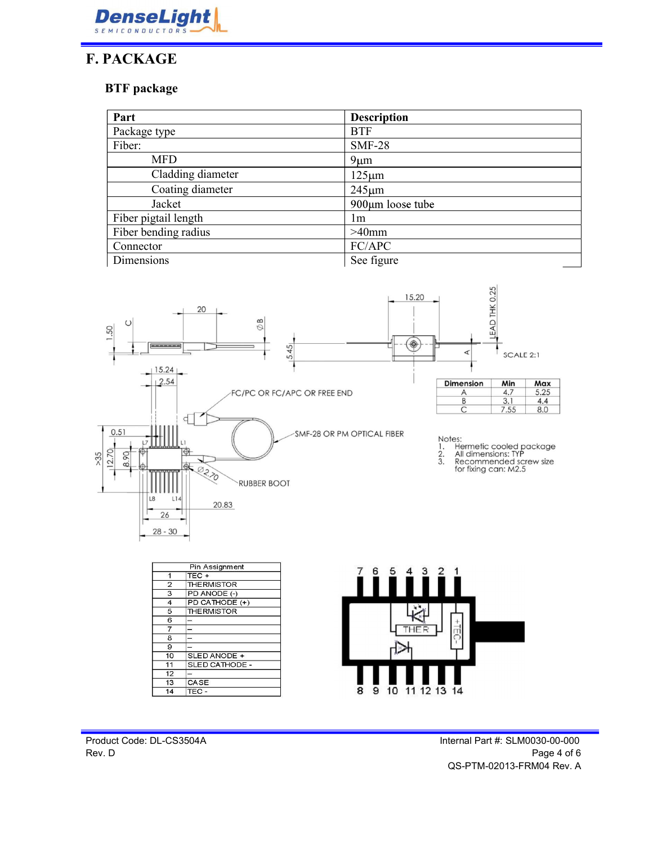

## F. PACKAGE

#### BTF package

| Part                 | <b>Description</b>     |  |  |
|----------------------|------------------------|--|--|
| Package type         | <b>BTF</b>             |  |  |
| Fiber:               | $SMF-28$               |  |  |
| <b>MFD</b>           | $9 \mu m$              |  |  |
| Cladding diameter    | $125 \mu m$            |  |  |
| Coating diameter     | $245 \mu m$            |  |  |
| Jacket               | $900 \mu m$ loose tube |  |  |
| Fiber pigtail length | lm.                    |  |  |
| Fiber bending radius | $>40$ mm               |  |  |
| Connector            | FC/APC                 |  |  |
| Dimensions           | See figure             |  |  |



 $\overline{7}$ 

 $\overline{8}$ 

 $\overline{9}$  $\overline{10}$ 

 $11$  $\overline{12}$ 

13

 $14$ 

SLED ANODE + SLED CATHODE -

CASE

TEC-

Product Code: DL-CS3504A Internal Part #: SLM0030-00-000 Rev. D Page 4 of 6 QS-PTM-02013-FRM04 Rev. A

THER

10 11 12 13 14

 $\overline{8}$  $\overline{9}$  ₫

C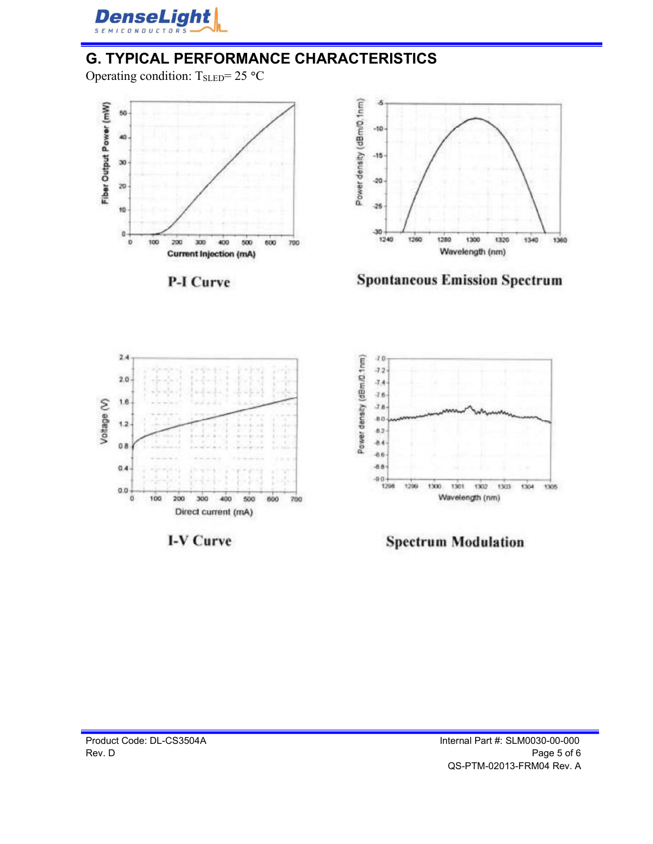

## G. TYPICAL PERFORMANCE CHARACTERISTICS

Operating condition:  $T_{\text{SLED}} = 25 \text{ °C}$ 



**P-I Curve** 







I-V Curve



**Spectrum Modulation**